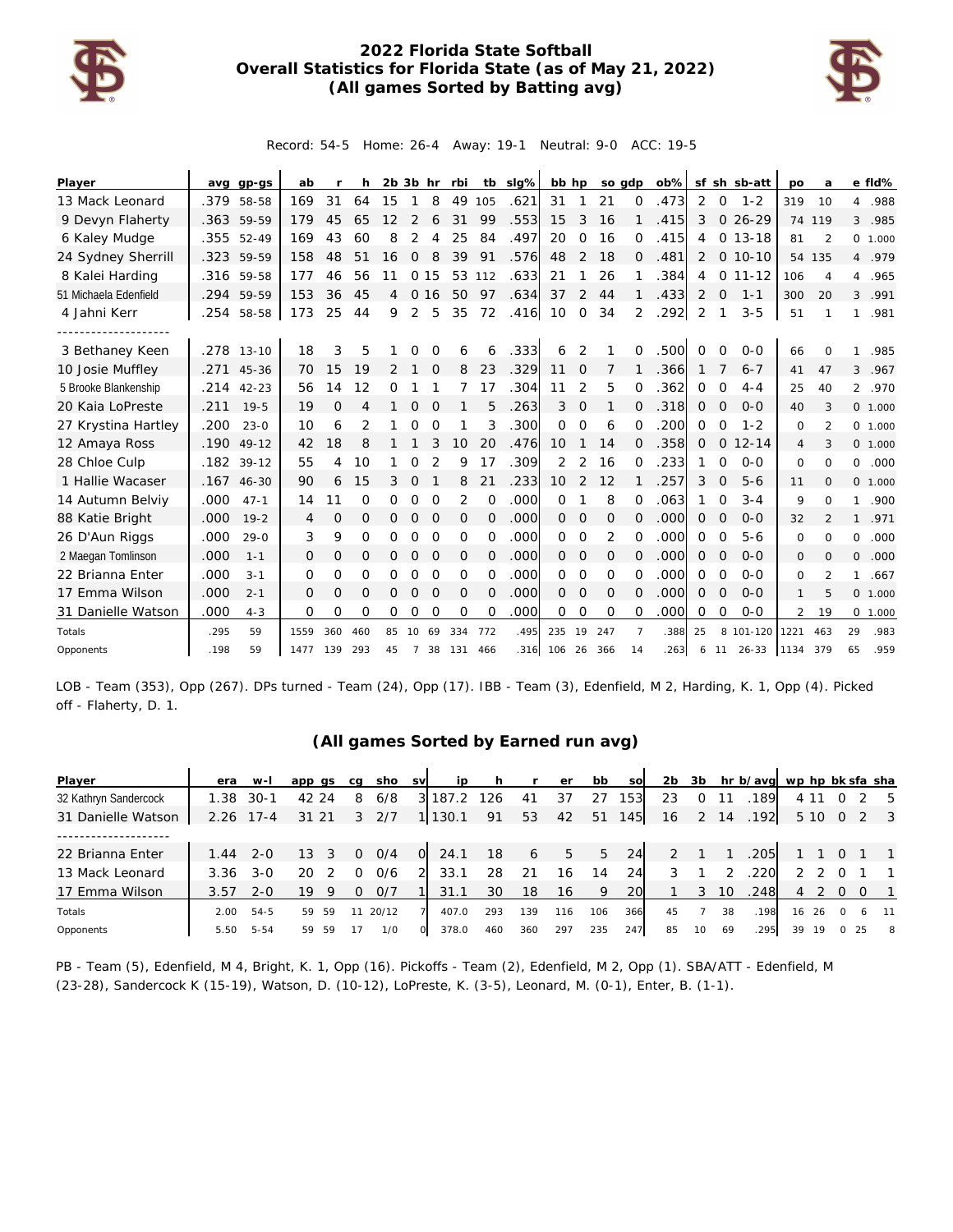

## **2022 Florida State Softball Overall Statistics for Florida State (as of May 21, 2022) (All games Sorted by Batting avg)**



Record: 54-5 Home: 26-4 Away: 19-1 Neutral: 9-0 ACC: 19-5

| Player                |      | avg gp-gs  | ab           |               | h   | $2b$ $3b$ hr |                |          | rbi |          | tb sig% | bb hp          |                | so gdp   |                | ob%  |                |                | sf sh sb-att | po             | a              |                | e fld%   |
|-----------------------|------|------------|--------------|---------------|-----|--------------|----------------|----------|-----|----------|---------|----------------|----------------|----------|----------------|------|----------------|----------------|--------------|----------------|----------------|----------------|----------|
| 13 Mack Leonard       | .379 | 58-58      | 169          | 31            | 64  | 15           |                | 8        | 49  | 105      | .621    | 31             | 1              | 21       | $\Omega$       | .473 | 2              | $\circ$        | $1 - 2$      | 319            | 10             | 4              | .988     |
| 9 Devyn Flaherty      | .363 | 59-59      | 179          | 45            | 65  | 12           | 2              | 6        | 31  | 99       | .553    | 15             | 3              | 16       |                | .415 | 3              | $\overline{0}$ | $26 - 29$    |                | 74 119         | 3              | .985     |
| 6 Kaley Mudge         | .355 | $52 - 49$  | 169          | 43            | 60  | 8            | 2              | 4        | 25  | 84       | .497    | 20             | $\Omega$       | 16       | $\Omega$       | .415 | 4              |                | $0.13 - 18$  | 81             | 2              |                | 0 1.000  |
| 24 Sydney Sherrill    |      | .323 59-59 | 158          | 48            | 51  | 16           | $\mathbf{O}$   | 8        | 39  | 91       | .576    | 48             | 2              | 18       | $\Omega$       | .481 | $\overline{2}$ |                | $0.10 - 10$  | 54             | 135            |                | 4.979    |
| 8 Kalei Harding       |      | .316 59-58 | 177          | 46            | 56  | 11           |                | 015      | 53  | 112      | .633    | 21             |                | 26       |                | .384 | 4              |                | $0$ 11-12    | 106            | 4              | $\overline{4}$ | .965     |
| 51 Michaela Edenfield |      | .294 59-59 | 153          | 36            | 45  | 4            | $\Omega$       | 16       | 50  | 97       | .634    | 37             | $\overline{2}$ | 44       |                | .433 | 2              | $\mathbf 0$    | $1 - 1$      | 300            | 20             |                | 3 .991   |
| 4 Jahni Kerr          | .254 | 58-58      | 173          | 25            | 44  | 9            | 2              | 5        | 35  | 72       | .416    | 10             | 0              | 34       | 2              | .292 | 2              |                | $3 - 5$      | 51             | 1              | 1              | .981     |
| 3 Bethaney Keen       |      | .278 13-10 | 18           | 3             | 5   |              |                | ∩        | 6   | 6        | .333    | 6              | 2              |          | $\Omega$       | .500 | $\Omega$       | $\circ$        | $0 - 0$      | 66             | $\Omega$       |                | .985     |
| 10 Josie Muffley      | .271 | $45 - 36$  | 70           | 15            | 19  | 2            |                | $\Omega$ | 8   | 23       | .329    | 11             | $\Omega$       | 7        |                | .366 |                |                | $6 - 7$      | 41             | 47             | 3              | .967     |
| 5 Brooke Blankenship  | .214 | $42 - 23$  | 56           | 14            | 12  | Ω            |                |          |     | 17       | .304    | 11             | 2              | 5        | O              | .362 | 0              | 0              | $4 - 4$      | 25             | 40             | $\overline{2}$ | .970     |
| 20 Kaia LoPreste      | .211 | $19 - 5$   | 19           | $\mathcal{O}$ | 4   |              | O              | $\Omega$ |     | 5        | .263    | 3              | 0              |          | 0              | .318 | 0              | 0              | $0 - 0$      | 40             | 3              |                | 0 1.000  |
| 27 Krystina Hartley   | .200 | $23 - 0$   | 10           | 6             | 2   |              | Ω              | 0        |     | 3        | .300    | 0              | O              | 6        | $\Omega$       | .200 | 0              | $\Omega$       | $1 - 2$      | 0              | 2              |                | 0, 1,000 |
| 12 Amaya Ross         | .190 | $49 - 12$  | 42           | 18            | 8   |              |                | 3        | 10  | 20       | .476    | 10             | 1              | 14       | 0              | .358 | 0              | $\mathbf{O}$   | $12 - 14$    | $\overline{4}$ | 3              |                | 0 1.000  |
| 28 Chloe Culp         | .182 | $39 - 12$  | 55           | 4             | 10  |              | Ω              | 2        | 9   | 17       | .309    | 2              | 2              | 16       | ∩              | .233 |                | $\Omega$       | $0 - 0$      | 0              | $\Omega$       | 0              | .000     |
| 1 Hallie Wacaser      | .167 | $46 - 30$  | 90           | 6             | 15  | 3            | $\Omega$       |          | 8   | 21       | .233    | 10             | 2              | 12       |                | .257 | 3              | $\Omega$       | $5 - 6$      | 11             | $\Omega$       |                | 0 1.000  |
| 14 Autumn Belviy      | .000 | $47 - 1$   | 14           | 11            | 0   | 0            | 0              | $\Omega$ | 2   | $\Omega$ | .000    | $\Omega$       |                | 8        | $\Omega$       | .063 | 1              | 0              | $3 - 4$      | 9              | $\Omega$       | 1              | .900     |
| 88 Katie Bright       | .000 | $19 - 2$   | 4            | 0             | 0   | 0            | $\mathbf 0$    | 0        | 0   | 0        | .000    | $\overline{0}$ | 0              | 0        | 0              | .000 | 0              | O              | $O - O$      | 32             | $\mathfrak{D}$ | $\mathbf{1}$   | .971     |
| 26 D'Aun Riggs        | .000 | $29 - 0$   | 3            | 9             | 0   | 0            | 0              | 0        | 0   | $\Omega$ | .000    | $\Omega$       | 0              | 2        | $\Omega$       | .000 | 0              | 0              | $5 - 6$      | 0              | $\Omega$       | 0              | .000     |
| 2 Maegan Tomlinson    | .000 | $1 - 1$    | $\mathbf{0}$ | 0             | 0   | 0            | $\mathbf{O}$   | 0        | 0   | $\Omega$ | .000    | $\Omega$       | $\Omega$       | 0        | $\Omega$       | .000 | 0              | O              | $O - O$      | 0              | $\Omega$       | 0              | .000     |
| 22 Brianna Enter      | .000 | $3 - 1$    | $\Omega$     | 0             | 0   | 0            | $\Omega$       | $\Omega$ | 0   | $\Omega$ | .000    | $\Omega$       | $\Omega$       | $\Omega$ | $\Omega$       | .000 | 0              | $\Omega$       | $O - O$      | $\circ$        | $\mathfrak{p}$ | $\mathbf{1}$   | .667     |
| 17 Emma Wilson        | .000 | $2 - 1$    | 0            | $\mathcal{O}$ | 0   | 0            | $\overline{0}$ | 0        | 0   | $\Omega$ | .000    | $\Omega$       | 0              | 0        | 0              | .000 | 0              | 0              | $O-O$        | $\mathbf{1}$   | 5              |                | 0 1.000  |
| 31 Danielle Watson    | .000 | $4 - 3$    | 0            | 0             | 0   | 0            | $\mathbf 0$    | O        | 0   | 0        | .000    | 0              | 0              | $\circ$  | 0              | .000 | 0              | O              | $0 - 0$      | 2              | 19             |                | 0 1.000  |
| Totals                | .295 | 59         | 1559         | 360           | 460 | 85           | 10             | 69       | 334 | 772      | .495    | 235            | 19             | 247      | $\overline{7}$ | .388 | 25             |                | 8 101-120    | 1221           | 463            | 29             | .983     |
| Opponents             | .198 | 59         | 1477         | 139           | 293 | 45           | 7              | 38       | 131 | 466      |         | .316 106       | 26             | 366      | 14             | .263 | 6              | - 11           | $26 - 33$    | 1134           | 379            | 65             | .959     |

LOB - Team (353), Opp (267). DPs turned - Team (24), Opp (17). IBB - Team (3), Edenfield, M 2, Harding, K. 1, Opp (4). Picked off - Flaherty, D. 1.

## **(All games Sorted by Earned run avg)**

| Player                | era  | w-l      | app gs   | ca | sho   | <b>SV</b> | i p     | <b>h</b> |     | er  | bb  | <b>SO</b> | 2b | 3b |    | hr b/avg wp hp bk sfa sha |                |        |                |     |                |
|-----------------------|------|----------|----------|----|-------|-----------|---------|----------|-----|-----|-----|-----------|----|----|----|---------------------------|----------------|--------|----------------|-----|----------------|
| 32 Kathryn Sandercock | 1.38 | $30-1$   | 42 24    | 8  | 6/8   | 31        | 187.2   | 126      | 41  | 37  | 27  | 153       | 23 |    | 11 | 189                       |                | 411    |                |     | - 5            |
| 31 Danielle Watson    | 2.26 | $17 - 4$ | 31 21    | 3  | 2/7   |           | 1 130.1 | 91       | 53  | 42  | 51  | 145       | 16 | 2  | 14 | .192                      |                | 5 10 0 |                |     | 2 3            |
|                       |      |          |          |    |       |           |         |          |     |     |     |           |    |    |    |                           |                |        |                |     |                |
| 22 Brianna Enter      | 1.44 | $2 - 0$  | 13<br>3  | Ω  | 0/4   | $\circ$   | 24.1    | 18       | 6   | 5   | 5   | 24        | 2  |    |    | .205                      |                |        | $\overline{O}$ |     | $\overline{1}$ |
| 13 Mack Leonard       | 3.36 | $3 - 0$  | 20       |    | 0/6   |           | 33.1    | 28       | -21 | 16  | 14  | 24        | 3  |    |    | .220                      |                |        |                |     | $\overline{1}$ |
| 17 Emma Wilson        | 3.57 | $2 - 0$  | 19       |    | O/7   |           | 31.1    | 30       | 18  | 16  | 9   | 20        |    | 3  | 10 | .248                      | $\overline{4}$ |        | $\Omega$       | . O | $\overline{1}$ |
| Totals                | 2.00 | $54 - 5$ | 59<br>59 |    | 20/12 |           | 407.0   | 293      | 139 | 116 | 106 | 366       | 45 |    | 38 | .198                      | 16             | 26     | $\Omega$       |     | 11             |
| Opponents             | 5.50 | $5 - 54$ | 59<br>59 | 17 | 1/0   | $\Omega$  | 378.0   | 460      | 360 | 297 | 235 | 247       | 85 | 10 | 69 | .295                      | 39             | 19     |                | 25  | 8              |

PB - Team (5), Edenfield, M 4, Bright, K. 1, Opp (16). Pickoffs - Team (2), Edenfield, M 2, Opp (1). SBA/ATT - Edenfield, M (23-28), Sandercock K (15-19), Watson, D. (10-12), LoPreste, K. (3-5), Leonard, M. (0-1), Enter, B. (1-1).